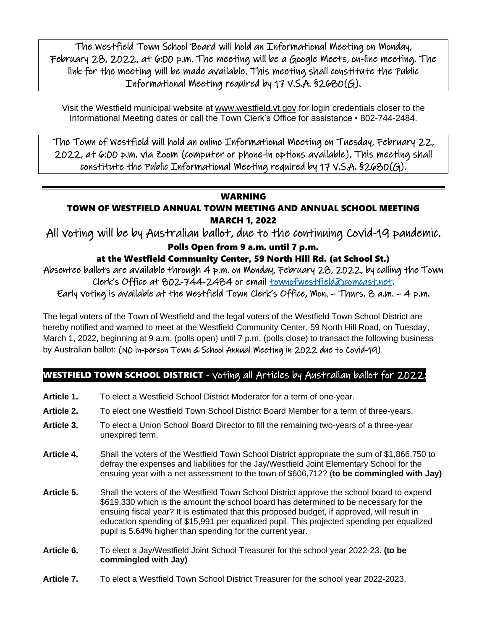The Westfield Town School Board will hold an Informational Meeting on Monday, February 28, 2022, at 6:00 p.m. The meeting will be a Google Meets, on-line meeting. The link for the meeting will be made available. This meeting shall constitute the Public Informational Meeting required by 17 V.S.A. §2680(G).

Visit the Westfield municipal website at [www.westfield.vt.gov](http://www.westfield.vt.gov/) for login credentials closer to the Informational Meeting dates or call the Town Clerk's Office for assistance • 802-744-2484.

The Town of Westfield will hold an online Informational Meeting on Tuesday, February 22, 2022, at 6:00 p.m. via Zoom (computer or phone-in options available). This meeting shall constitute the Public Informational Meeting required by 17  $V.S.A.$  §2680(G).

### WARNING

### TOWN OF WESTFIELD ANNUAL TOWN MEETING AND ANNUAL SCHOOL MEETING MARCH 1, 2022

All voting will be by Australian ballot, due to the continuing Covid-19 pandemic.

### Polls Open from 9 a.m. until 7 p.m.

## at the Westfield Community Center, 59 North Hill Rd. (at School St.)

Absentee ballots are available through 4 p.m. on Monday, February 28, 2022, by calling the Town Clerk's Office at 802-744-2484 or email <u>townofwestfield@comcast.net</u>.

Early voting is available at the Westfield Town Clerk's Office, Mon. – Thurs. 8 a.m. – 4 p.m.

The legal voters of the Town of Westfield and the legal voters of the Westfield Town School District are hereby notified and warned to meet at the Westfield Community Center, 59 North Hill Road, on Tuesday, March 1, 2022, beginning at 9 a.m. (polls open) until 7 p.m. (polls close) to transact the following business by Australian ballot: (N0 in-person Town & School Annual Meeting in 2022 due to Covid-19)

# WESTFIELD TOWN SCHOOL DISTRICT - voting all Articles by Australian ballot for 2022:

- **Article 1.** To elect a Westfield School District Moderator for a term of one-year.
- **Article 2.** To elect one Westfield Town School District Board Member for a term of three-years.
- **Article 3.** To elect a Union School Board Director to fill the remaining two-years of a three-year unexpired term.
- **Article 4.** Shall the voters of the Westfield Town School District appropriate the sum of \$1,866,750 to defray the expenses and liabilities for the Jay/Westfield Joint Elementary School for the ensuing year with a net assessment to the town of \$606,712? (**to be commingled with Jay)**
- **Article 5.** Shall the voters of the Westfield Town School District approve the school board to expend \$619,330 which is the amount the school board has determined to be necessary for the ensuing fiscal year? It is estimated that this proposed budget, if approved, will result in education spending of \$15,991 per equalized pupil. This projected spending per equalized pupil is 5.64% higher than spending for the current year.
- **Article 6.** To elect a Jay/Westfield Joint School Treasurer for the school year 2022-23. **(to be commingled with Jay)**
- **Article 7.** To elect a Westfield Town School District Treasurer for the school year 2022-2023.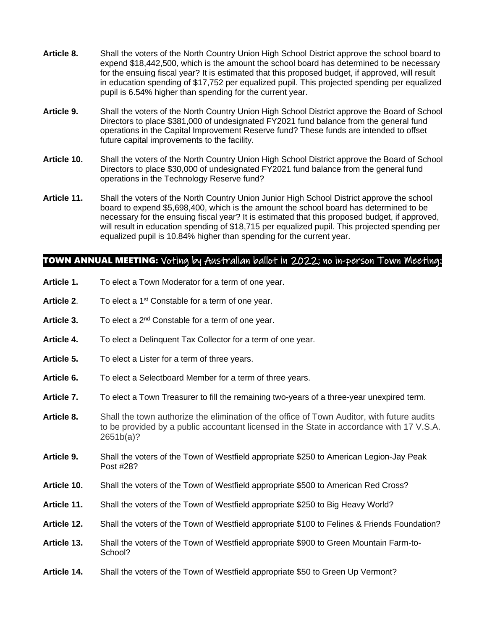- **Article 8.** Shall the voters of the North Country Union High School District approve the school board to expend \$18,442,500, which is the amount the school board has determined to be necessary for the ensuing fiscal year? It is estimated that this proposed budget, if approved, will result in education spending of \$17,752 per equalized pupil. This projected spending per equalized pupil is 6.54% higher than spending for the current year.
- **Article 9.** Shall the voters of the North Country Union High School District approve the Board of School Directors to place \$381,000 of undesignated FY2021 fund balance from the general fund operations in the Capital Improvement Reserve fund? These funds are intended to offset future capital improvements to the facility.
- **Article 10.** Shall the voters of the North Country Union High School District approve the Board of School Directors to place \$30,000 of undesignated FY2021 fund balance from the general fund operations in the Technology Reserve fund?
- **Article 11.** Shall the voters of the North Country Union Junior High School District approve the school board to expend \$5,698,400, which is the amount the school board has determined to be necessary for the ensuing fiscal year? It is estimated that this proposed budget, if approved, will result in education spending of \$18,715 per equalized pupil. This projected spending per equalized pupil is 10.84% higher than spending for the current year.

### TOWN ANNUAL MEETING: Voting by Australian ballot in 2022; no in-person Town Meeting:

- **Article 1.** To elect a Town Moderator for a term of one year.
- Article 2. To elect a 1<sup>st</sup> Constable for a term of one year.
- Article 3. To elect a 2<sup>nd</sup> Constable for a term of one year.
- **Article 4.** To elect a Delinquent Tax Collector for a term of one year.
- **Article 5.** To elect a Lister for a term of three years.
- **Article 6.** To elect a Selectboard Member for a term of three years.
- **Article 7.** To elect a Town Treasurer to fill the remaining two-years of a three-year unexpired term.
- **Article 8.** Shall the town authorize the elimination of the office of Town Auditor, with future audits to be provided by a public accountant licensed in the State in accordance with 17 V.S.A. 2651b(a)?
- **Article 9.** Shall the voters of the Town of Westfield appropriate \$250 to American Legion-Jay Peak Post #28?
- **Article 10.** Shall the voters of the Town of Westfield appropriate \$500 to American Red Cross?
- **Article 11.** Shall the voters of the Town of Westfield appropriate \$250 to Big Heavy World?
- **Article 12.** Shall the voters of the Town of Westfield appropriate \$100 to Felines & Friends Foundation?
- **Article 13.** Shall the voters of the Town of Westfield appropriate \$900 to Green Mountain Farm-to-School?
- **Article 14.** Shall the voters of the Town of Westfield appropriate \$50 to Green Up Vermont?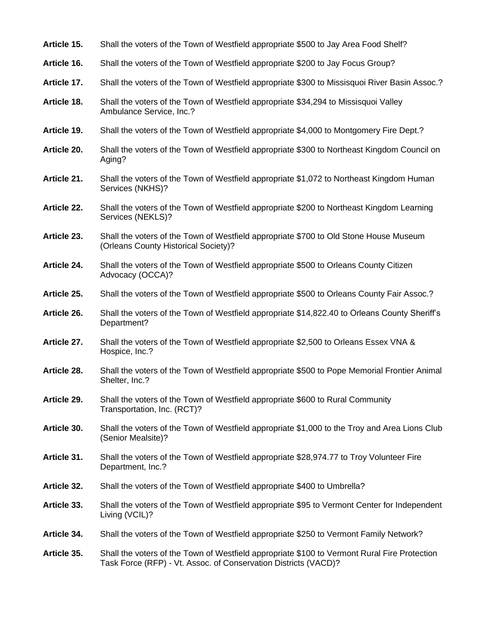| Article 15. |  | Shall the voters of the Town of Westfield appropriate \$500 to Jay Area Food Shelf? |  |  |
|-------------|--|-------------------------------------------------------------------------------------|--|--|
|-------------|--|-------------------------------------------------------------------------------------|--|--|

- **Article 16.** Shall the voters of the Town of Westfield appropriate \$200 to Jay Focus Group?
- **Article 17.** Shall the voters of the Town of Westfield appropriate \$300 to Missisquoi River Basin Assoc.?
- **Article 18.** Shall the voters of the Town of Westfield appropriate \$34,294 to Missisquoi Valley Ambulance Service, Inc.?
- **Article 19.** Shall the voters of the Town of Westfield appropriate \$4,000 to Montgomery Fire Dept.?
- **Article 20.** Shall the voters of the Town of Westfield appropriate \$300 to Northeast Kingdom Council on Aging?
- **Article 21.** Shall the voters of the Town of Westfield appropriate \$1,072 to Northeast Kingdom Human Services (NKHS)?
- **Article 22.** Shall the voters of the Town of Westfield appropriate \$200 to Northeast Kingdom Learning Services (NEKLS)?
- **Article 23.** Shall the voters of the Town of Westfield appropriate \$700 to Old Stone House Museum (Orleans County Historical Society)?
- **Article 24.** Shall the voters of the Town of Westfield appropriate \$500 to Orleans County Citizen Advocacy (OCCA)?
- **Article 25.** Shall the voters of the Town of Westfield appropriate \$500 to Orleans County Fair Assoc.?
- **Article 26.** Shall the voters of the Town of Westfield appropriate \$14,822.40 to Orleans County Sheriff's Department?
- **Article 27.** Shall the voters of the Town of Westfield appropriate \$2,500 to Orleans Essex VNA & Hospice, Inc.?
- **Article 28.** Shall the voters of the Town of Westfield appropriate \$500 to Pope Memorial Frontier Animal Shelter, Inc.?
- **Article 29.** Shall the voters of the Town of Westfield appropriate \$600 to Rural Community Transportation, Inc. (RCT)?
- **Article 30.** Shall the voters of the Town of Westfield appropriate \$1,000 to the Troy and Area Lions Club (Senior Mealsite)?
- **Article 31.** Shall the voters of the Town of Westfield appropriate \$28,974.77 to Troy Volunteer Fire Department, Inc.?
- **Article 32.** Shall the voters of the Town of Westfield appropriate \$400 to Umbrella?
- **Article 33.** Shall the voters of the Town of Westfield appropriate \$95 to Vermont Center for Independent Living (VCIL)?
- **Article 34.** Shall the voters of the Town of Westfield appropriate \$250 to Vermont Family Network?
- **Article 35.** Shall the voters of the Town of Westfield appropriate \$100 to Vermont Rural Fire Protection Task Force (RFP) - Vt. Assoc. of Conservation Districts (VACD)?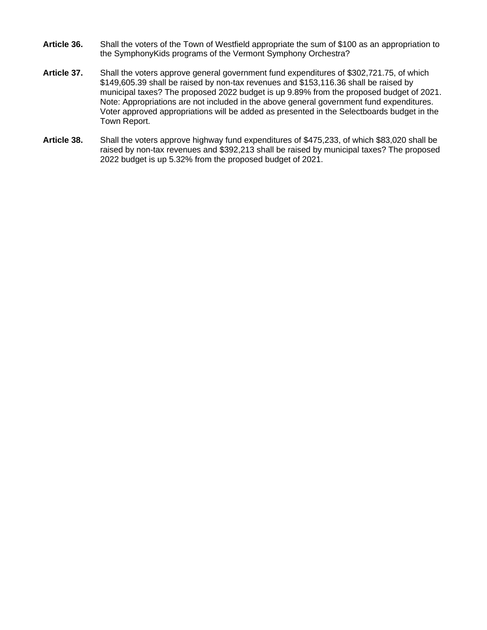- **Article 36.** Shall the voters of the Town of Westfield appropriate the sum of \$100 as an appropriation to the SymphonyKids programs of the Vermont Symphony Orchestra?
- **Article 37.** Shall the voters approve general government fund expenditures of \$302,721.75, of which \$149,605.39 shall be raised by non-tax revenues and \$153,116.36 shall be raised by municipal taxes? The proposed 2022 budget is up 9.89% from the proposed budget of 2021. Note: Appropriations are not included in the above general government fund expenditures. Voter approved appropriations will be added as presented in the Selectboards budget in the Town Report.
- **Article 38.** Shall the voters approve highway fund expenditures of \$475,233, of which \$83,020 shall be raised by non-tax revenues and \$392,213 shall be raised by municipal taxes? The proposed 2022 budget is up 5.32% from the proposed budget of 2021.